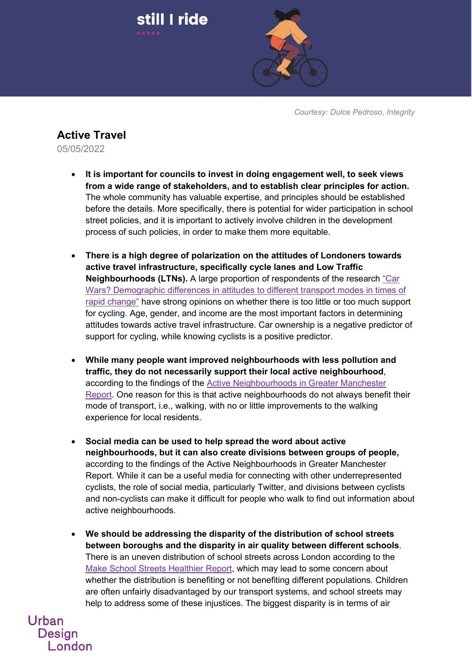

*Courtesy: Dulce Pedroso, Integrity*

## **Active Travel**

still I ride

05/05/2022

Urban

**Design** 

London

- **It is important for councils to invest in doing engagement well, to seek views from a wide range of stakeholders, and to establish clear principles for action.** The whole community has valuable expertise, and principles should be established before the details. More specifically, there is potential for wider participation in school street policies, and it is important to actively involve children in the development process of such policies, in order to make them more equitable.
- **There is a high degree of polarization on the attitudes of Londoners towards active travel infrastructure, specifically cycle lanes and Low Traffic Neighbourhoods (LTNs).** A large proportion of respondents of the research ["Car](https://blog.westminster.ac.uk/ata/projects/showcase/londoners-travel-attitudes/)  [Wars? Demographic differences in attitudes to different transport modes in times of](https://blog.westminster.ac.uk/ata/projects/showcase/londoners-travel-attitudes/)  [rapid change"](https://blog.westminster.ac.uk/ata/projects/showcase/londoners-travel-attitudes/) have strong opinions on whether there is too little or too much support for cycling. Age, gender, and income are the most important factors in determining attitudes towards active travel infrastructure. Car ownership is a negative predictor of support for cycling, while knowing cyclists is a positive predictor.
- **While many people want improved neighbourhoods with less pollution and traffic, they do not necessarily support their local active neighbourhood**, according to the findings of the [Active Neighbourhoods in Greater Manchester](http://usir.salford.ac.uk/id/eprint/62322/1/Active%20Neighbourhoods%20in%20Greater%20Manchester%20USIR_theone.pdf)  [Report.](http://usir.salford.ac.uk/id/eprint/62322/1/Active%20Neighbourhoods%20in%20Greater%20Manchester%20USIR_theone.pdf) One reason for this is that active neighbourhoods do not always benefit their mode of transport, i.e., walking, with no or little improvements to the walking experience for local residents.
- **Social media can be used to help spread the word about active neighbourhoods, but it can also create divisions between groups of people,**  according to the findings of the Active Neighbourhoods in Greater Manchester Report. While it can be a useful media for connecting with other underrepresented cyclists, the role of social media, particularly Twitter, and divisions between cyclists and non-cyclists can make it difficult for people who walk to find out information about active neighbourhoods.
- **We should be addressing the disparity of the distribution of school streets between boroughs and the disparity in air quality between different schools**. There is an uneven distribution of school streets across London according to the [Make School Streets Healthier Report,](https://crossriverpartnership.org/wp-content/uploads/2022/03/UoW-Report_V5.pdf) which may lead to some concern about whether the distribution is benefiting or not benefiting different populations. Children are often unfairly disadvantaged by our transport systems, and school streets may help to address some of these injustices. The biggest disparity is in terms of air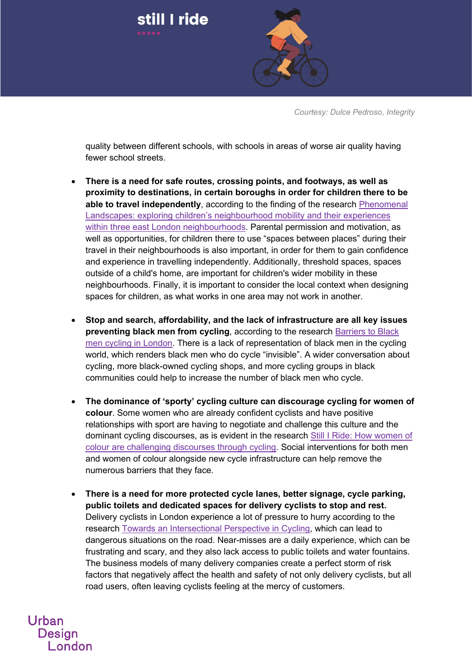

*Courtesy: Dulce Pedroso, Integrity*

quality between different schools, with schools in areas of worse air quality having fewer school streets.

- **There is a need for safe routes, crossing points, and footways, as well as proximity to destinations, in certain boroughs in order for children there to be able to travel independently**, according to the finding of the research [Phenomenal](https://westminsterresearch.westminster.ac.uk/download/a15f58764df825324905f36acfaa8797783d810fd9a89f155100deb0d5238b90/193972912/Holly%20Weir%20PhD.pdf)  [Landscapes: exploring children's neighbourhood mobility and their experiences](https://westminsterresearch.westminster.ac.uk/download/a15f58764df825324905f36acfaa8797783d810fd9a89f155100deb0d5238b90/193972912/Holly%20Weir%20PhD.pdf)  [within three east London neighbourhoods.](https://westminsterresearch.westminster.ac.uk/download/a15f58764df825324905f36acfaa8797783d810fd9a89f155100deb0d5238b90/193972912/Holly%20Weir%20PhD.pdf) Parental permission and motivation, as well as opportunities, for children there to use "spaces between places" during their travel in their neighbourhoods is also important, in order for them to gain confidence and experience in travelling independently. Additionally, threshold spaces, spaces outside of a child's home, are important for children's wider mobility in these neighbourhoods. Finally, it is important to consider the local context when designing spaces for children, as what works in one area may not work in another.
- **Stop and search, affordability, and the lack of infrastructure are all key issues preventing black men from cycling**, according to the research [Barriers to Black](https://blog.westminster.ac.uk/ata/projects/showcase/barriers-to-black-men-cycling-in-london/)  [men cycling in London.](https://blog.westminster.ac.uk/ata/projects/showcase/barriers-to-black-men-cycling-in-london/) There is a lack of representation of black men in the cycling world, which renders black men who do cycle "invisible". A wider conversation about cycling, more black-owned cycling shops, and more cycling groups in black communities could help to increase the number of black men who cycle.
- **The dominance of 'sporty' cycling culture can discourage cycling for women of colour**. Some women who are already confident cyclists and have positive relationships with sport are having to negotiate and challenge this culture and the dominant cycling discourses, as is evident in the research [Still I Ride: How women of](https://blog.westminster.ac.uk/ata/still-i-ride-how-women-of-colour-are-challenging-discourses-in-and-through-cycling/)  [colour are challenging discourses through cycling.](https://blog.westminster.ac.uk/ata/still-i-ride-how-women-of-colour-are-challenging-discourses-in-and-through-cycling/) Social interventions for both men and women of colour alongside new cycle infrastructure can help remove the numerous barriers that they face.
- **There is a need for more protected cycle lanes, better signage, cycle parking, public toilets and dedicated spaces for delivery cyclists to stop and rest.** Delivery cyclists in London experience a lot of pressure to hurry according to the research [Towards an Intersectional Perspective in Cycling,](https://activetravelstudies.org/article/id/1264/) which can lead to dangerous situations on the road. Near-misses are a daily experience, which can be frustrating and scary, and they also lack access to public toilets and water fountains. The business models of many delivery companies create a perfect storm of risk factors that negatively affect the health and safety of not only delivery cyclists, but all road users, often leaving cyclists feeling at the mercy of customers.

Urban **Design** London